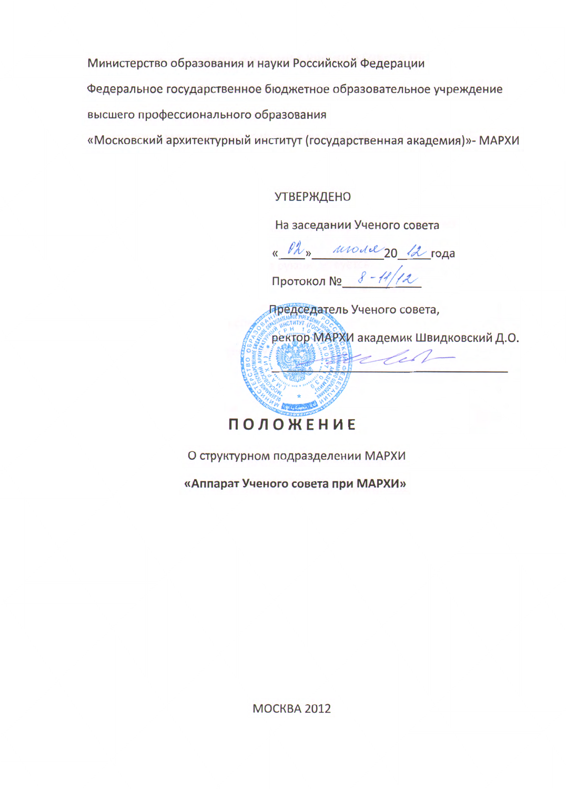Министерство образования и науки Российской Федерации

Федеральное государственное бюджетное образовательное учреждение

высшего профессионального образования

«Московский архитектурный институт (государственная академия)»- МАРХИ

**УТВЕРЖДЕНО** 

На заседании Ученого совета

« Ph» model 20 12 года

Протокол №  $8 - 11/12$ 



О структурном подразделении МАРХИ

«Аппарат Ученого совета при МАРХИ»

MOCKBA 2012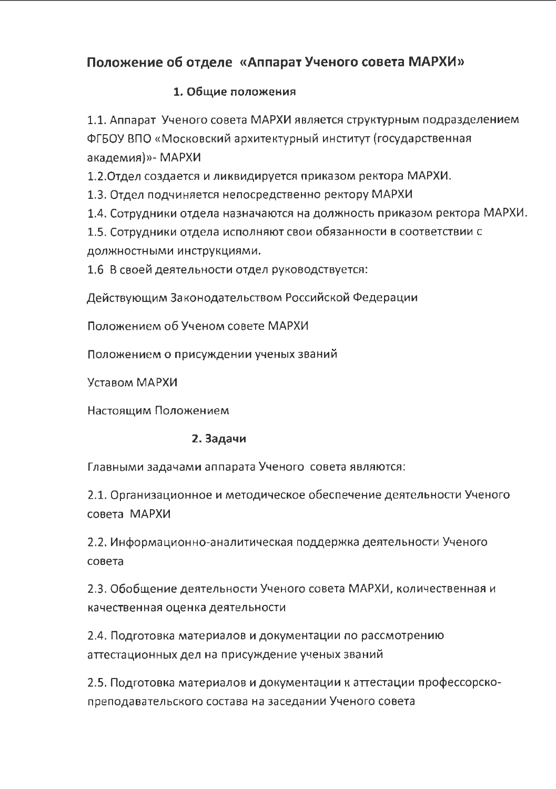# Положение об отделе «Аппарат Ученого совета МАРХИ»

### 1. Общие положения

1.1. Аппарат Ученого совета МАРХИ является структурным подразделением ФГБОУ ВПО «Московский архитектурный институт (государственная академия)»- МАРХИ

1.2. Отдел создается и ликвидируется приказом ректора МАРХИ.

1.3. Отдел подчиняется непосредственно ректору МАРХИ

1.4. Сотрудники отдела назначаются на должность приказом ректора МАРХИ.

1.5. Сотрудники отдела исполняют свои обязанности в соответствии с должностными инструкциями.

1.6 В своей деятельности отдел руководствуется:

Действующим Законодательством Российской Федерации

Положением об Ученом совете МАРХИ

Положением о присуждении ученых званий

Уставом МАРХИ

Настоящим Положением

## 2. Задачи

Главными задачами аппарата Ученого совета являются:

2.1. Организационное и методическое обеспечение деятельности Ученого совета МАРХИ

2.2. Информационно-аналитическая поддержка деятельности Ученого совета

2.3. Обобщение деятельности Ученого совета МАРХИ, количественная и качественная оценка деятельности

2.4. Подготовка материалов и документации по рассмотрению аттестационных дел на присуждение ученых званий

2.5. Подготовка материалов и документации к аттестации профессорскопреподавательского состава на заседании Ученого совета